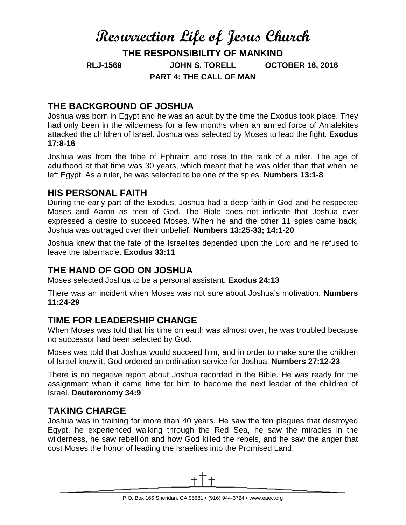# **Resurrection Life of Jesus Church THE RESPONSIBILITY OF MANKIND RLJ-1569 JOHN S. TORELL OCTOBER 16, 2016 PART 4: THE CALL OF MAN**

# **THE BACKGROUND OF JOSHUA**

Joshua was born in Egypt and he was an adult by the time the Exodus took place. They had only been in the wilderness for a few months when an armed force of Amalekites attacked the children of Israel. Joshua was selected by Moses to lead the fight. **Exodus 17:8-16**

Joshua was from the tribe of Ephraim and rose to the rank of a ruler. The age of adulthood at that time was 30 years, which meant that he was older than that when he left Egypt. As a ruler, he was selected to be one of the spies. **Numbers 13:1-8**

#### **HIS PERSONAL FAITH**

During the early part of the Exodus, Joshua had a deep faith in God and he respected Moses and Aaron as men of God. The Bible does not indicate that Joshua ever expressed a desire to succeed Moses. When he and the other 11 spies came back, Joshua was outraged over their unbelief. **Numbers 13:25-33; 14:1-20**

Joshua knew that the fate of the Israelites depended upon the Lord and he refused to leave the tabernacle. **Exodus 33:11**

## **THE HAND OF GOD ON JOSHUA**

Moses selected Joshua to be a personal assistant. **Exodus 24:13**

There was an incident when Moses was not sure about Joshua's motivation. **Numbers 11:24-29**

## **TIME FOR LEADERSHIP CHANGE**

When Moses was told that his time on earth was almost over, he was troubled because no successor had been selected by God.

Moses was told that Joshua would succeed him, and in order to make sure the children of Israel knew it, God ordered an ordination service for Joshua. **Numbers 27:12-23**

There is no negative report about Joshua recorded in the Bible. He was ready for the assignment when it came time for him to become the next leader of the children of Israel. **Deuteronomy 34:9**

## **TAKING CHARGE**

Joshua was in training for more than 40 years. He saw the ten plagues that destroyed Egypt, he experienced walking through the Red Sea, he saw the miracles in the wilderness, he saw rebellion and how God killed the rebels, and he saw the anger that cost Moses the honor of leading the Israelites into the Promised Land.